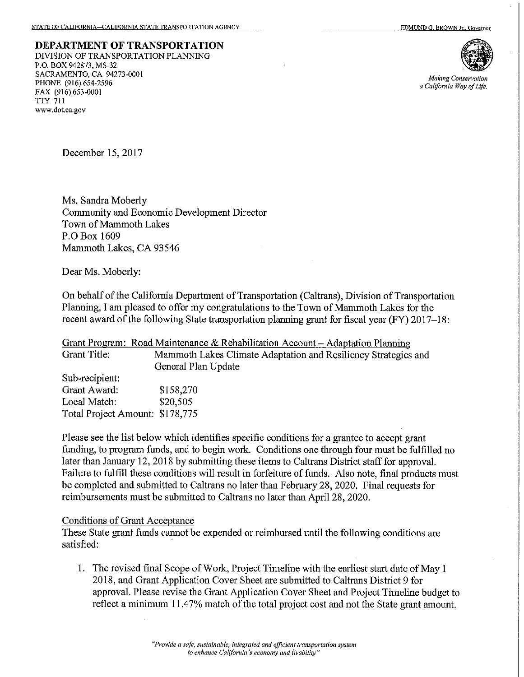**DEPARTMENT OF TRANSPORTATION** DIVISION OF TRANSPORTATION PLANNING P.O. BOX 942873, MS-32 SACRAMENTO, CA 94273-0001 PHONE (916) 654-2596 FAX (916) 653-0001 **TTY 711** www.dot.ca.gov



**Making Conservation** a California Way of Life.

December 15, 2017

Ms. Sandra Moberly Community and Economic Development Director Town of Mammoth Lakes P.O Box 1609 Mammoth Lakes, CA 93546

Dear Ms. Moberly:

On behalf of the California Department of Transportation (Caltrans), Division of Transportation Planning, I am pleased to offer my congratulations to the Town of Mammoth Lakes for the recent award of the following State transportation planning grant for fiscal year (FY) 2017-18:

|                                 | Grant Program: Road Maintenance & Rehabilitation Account - Adaptation Planning |
|---------------------------------|--------------------------------------------------------------------------------|
| Grant Title:                    | Mammoth Lakes Climate Adaptation and Resiliency Strategies and                 |
|                                 | General Plan Update                                                            |
| Sub-recipient:                  |                                                                                |
| Grant Award:                    | \$158,270                                                                      |
| Local Match:                    | \$20,505                                                                       |
| Total Project Amount: \$178,775 |                                                                                |

Please see the list below which identifies specific conditions for a grantee to accept grant funding, to program funds, and to begin work. Conditions one through four must be fulfilled no later than January 12, 2018 by submitting these items to Caltrans District staff for approval. Failure to fulfill these conditions will result in forfeiture of funds. Also note, final products must be completed and submitted to Caltrans no later than February 28, 2020. Final requests for reimbursements must be submitted to Caltrans no later than April 28, 2020.

## Conditions of Grant Acceptance

These State grant funds cannot be expended or reimbursed until the following conditions are satisfied:

1. The revised final Scope of Work, Project Timeline with the earliest start date of May 1 2018, and Grant Application Cover Sheet are submitted to Caltrans District 9 for approval. Please revise the Grant Application Cover Sheet and Project Timeline budget to reflect a minimum 11.47% match of the total project cost and not the State grant amount.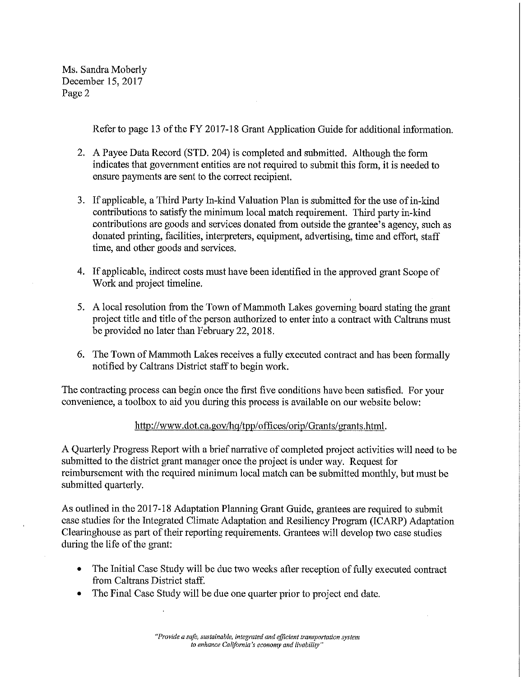Ms. Sandra Moberly December 15, 2017 Page 2

Refer to page 13 of the FY 2017-18 Grant Application Guide for additional information.

- 2. A Payee Data Record (STD, 204) is completed and submitted. Although the form indicates that government entities are not required to submit this form, it is needed to ensure payments are sent to the correct recipient.
- 3. If applicable, a Third Party In-kind Valuation Plan is submitted for the use of in-kind contributions to satisfy the minimum local match requirement. Third party in-kind contributions are goods and services donated from outside the grantee's agency, such as donated printing, facilities, interpreters, equipment, advertising, time and effort, staff time, and other goods and services.
- 4. If applicable, indirect costs must have been identified in the approved grant Scope of Work and project timeline.
- 5. A local resolution from the Town of Mammoth Lakes governing board stating the grant project title and title of the person authorized to enter into a contract with Caltrans must be provided no later than February 22, 2018.
- 6. The Town of Mammoth Lakes receives a fully executed contract and has been formally notified by Caltrans District staff to begin work.

The contracting process can begin once the first five conditions have been satisfied. For your convenience, a toolbox to aid you during this process is available on our website below:

## http://www.dot.ca.gov/hg/tpp/offices/orip/Grants/grants.html.

A Quarterly Progress Report with a brief narrative of completed project activities will need to be submitted to the district grant manager once the project is under way. Request for reimbursement with the required minimum local match can be submitted monthly, but must be submitted quarterly.

As outlined in the 2017-18 Adaptation Planning Grant Guide, grantees are required to submit case studies for the Integrated Climate Adaptation and Resiliency Program (ICARP) Adaptation Clearinghouse as part of their reporting requirements. Grantees will develop two case studies during the life of the grant:

- The Initial Case Study will be due two weeks after reception of fully executed contract  $\bullet$ from Caltrans District staff.
- The Final Case Study will be due one quarter prior to project end date.  $\bullet$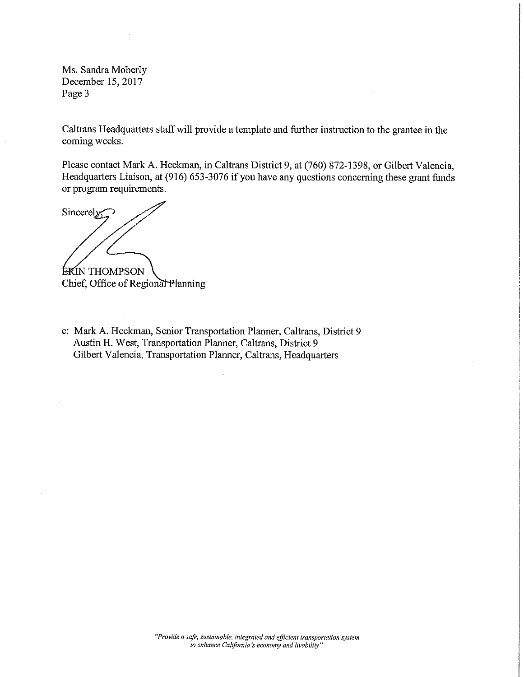Ms. Sandra Moberly December 15, 2017 Page 3

Caltrans Headquarters staff will provide a template and further instruction to the grantee in the coming weeks.

Please contact Mark A. Heckman, in Caltrans District 9, at (760) 872-1398, or Gilbert Valencia, Headquarters Liaison, at (916) 653-3076 if you have any questions concerning these grant funds or program requirements.

Sincerely;

**ERIN THOMPSON** Chief, Office of Regional Planning

c: Mark A. Heckman, Senior Transportation Planner, Caltrans, District 9 Austin H. West, Transportation Planner, Caltrans, District 9 Gilbert Valencia, Transportation Planner, Caltrans, Headquarters